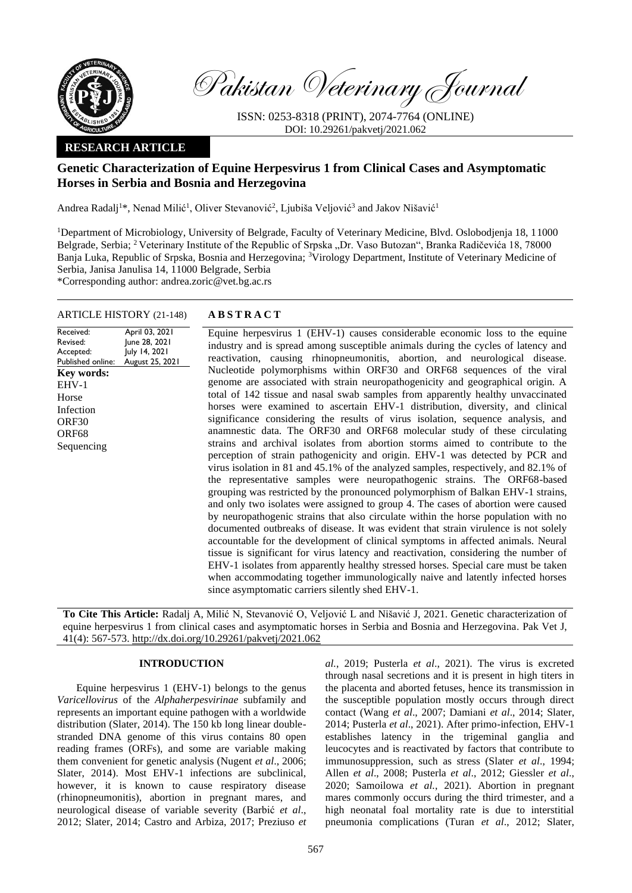

Pakistan Veterinary Journal

ISSN: 0253-8318 (PRINT), 2074-7764 (ONLINE) DOI: 10.29261/pakvetj/2021.062

## **RESEARCH ARTICLE**

# **Genetic Characterization of Equine Herpesvirus 1 from Clinical Cases and Asymptomatic Horses in Serbia and Bosnia and Herzegovina**

Andrea Radalj<sup>1</sup>\*, Nenad Milić<sup>1</sup>, Oliver Stevanović<sup>2</sup>, Ljubiša Veljović<sup>3</sup> and Jakov Nišavić<sup>1</sup>

<sup>1</sup>Department of Microbiology, University of Belgrade, Faculty of Veterinary Medicine, Blvd. Oslobodjenja 18, 11000 Belgrade, Serbia; <sup>2</sup> Veterinary Institute of the Republic of Srpska "Dr. Vaso Butozan", Branka Radičevića 18, 78000 Banja Luka, Republic of Srpska, Bosnia and Herzegovina; <sup>3</sup>Virology Department, Institute of Veterinary Medicine of Serbia, Janisa Janulisa 14, 11000 Belgrade, Serbia

\*Corresponding author: andrea.zoric@vet.bg.ac.rs

## ARTICLE HISTORY (21-148) **A B S T R A C T**

Received: Revised: Accepted: Published online: April 03, 2021 June 28, 2021 July 14, 2021 August 25, 2021 Equine herpesvirus 1 (EHV-1) causes considerable economic loss to the equine industry and is spread among susceptible animals during the cycles of latency and reactivation, causing rhinopneumonitis, abortion, and neurological disease. Nucleotide polymorphisms within ORF30 and ORF68 sequences of the viral genome are associated with strain neuropathogenicity and geographical origin. A total of 142 tissue and nasal swab samples from apparently healthy unvaccinated horses were examined to ascertain EHV-1 distribution, diversity, and clinical significance considering the results of virus isolation, sequence analysis, and anamnestic data. The ORF30 and ORF68 molecular study of these circulating strains and archival isolates from abortion storms aimed to contribute to the perception of strain pathogenicity and origin. EHV-1 was detected by PCR and virus isolation in 81 and 45.1% of the analyzed samples, respectively, and 82.1% of the representative samples were neuropathogenic strains. The ORF68-based grouping was restricted by the pronounced polymorphism of Balkan EHV-1 strains, and only two isolates were assigned to group 4. The cases of abortion were caused by neuropathogenic strains that also circulate within the horse population with no documented outbreaks of disease. It was evident that strain virulence is not solely accountable for the development of clinical symptoms in affected animals. Neural tissue is significant for virus latency and reactivation, considering the number of EHV-1 isolates from apparently healthy stressed horses. Special care must be taken when accommodating together immunologically naive and latently infected horses since asymptomatic carriers silently shed EHV-1. **Key words:**  EHV-1 Horse Infection ORF30 ORF68 Sequencing

**To Cite This Article:** Radalj A, Milić N, Stevanović O, Veljović L and Nišavić J, 2021. Genetic characterization of equine herpesvirus 1 from clinical cases and asymptomatic horses in Serbia and Bosnia and Herzegovina. Pak Vet J, 41(4): 567-573[. http://dx.doi.org/10.29261/pakvetj/2021.062](http://pvj.com.pk/pdf-files/41_4/567-573.pdf)

## **INTRODUCTION**

Equine herpesvirus 1 (EHV-1) belongs to the genus *Varicellovirus* of the *Alphaherpesvirinae* subfamily and represents an important equine pathogen with a worldwide distribution (Slater, 2014). The 150 kb long linear doublestranded DNA genome of this virus contains 80 open reading frames (ORFs), and some are variable making them convenient for genetic analysis (Nugent *et al*., 2006; Slater, 2014). Most EHV-1 infections are subclinical, however, it is known to cause respiratory disease (rhinopneumonitis), abortion in pregnant mares, and neurological disease of variable severity (Barbić *et al*., 2012; Slater, 2014; Castro and Arbiza, 2017; Preziuso *et*  *al.*, 2019; Pusterla *et al*., 2021). The virus is excreted through nasal secretions and it is present in high titers in the placenta and aborted fetuses, hence its transmission in the susceptible population mostly occurs through direct contact (Wang *et al*., 2007; Damiani *et al*., 2014; Slater, 2014; Pusterla *et al*., 2021). After primo-infection, EHV-1 establishes latency in the trigeminal ganglia and leucocytes and is reactivated by factors that contribute to immunosuppression, such as stress (Slater *et al*., 1994; Allen *et al*., 2008; Pusterla *et al*., 2012; Giessler *et al*., 2020; Samoilowa *et al.*, 2021). Abortion in pregnant mares commonly occurs during the third trimester, and a high neonatal foal mortality rate is due to interstitial pneumonia complications (Turan *et al*., 2012; Slater,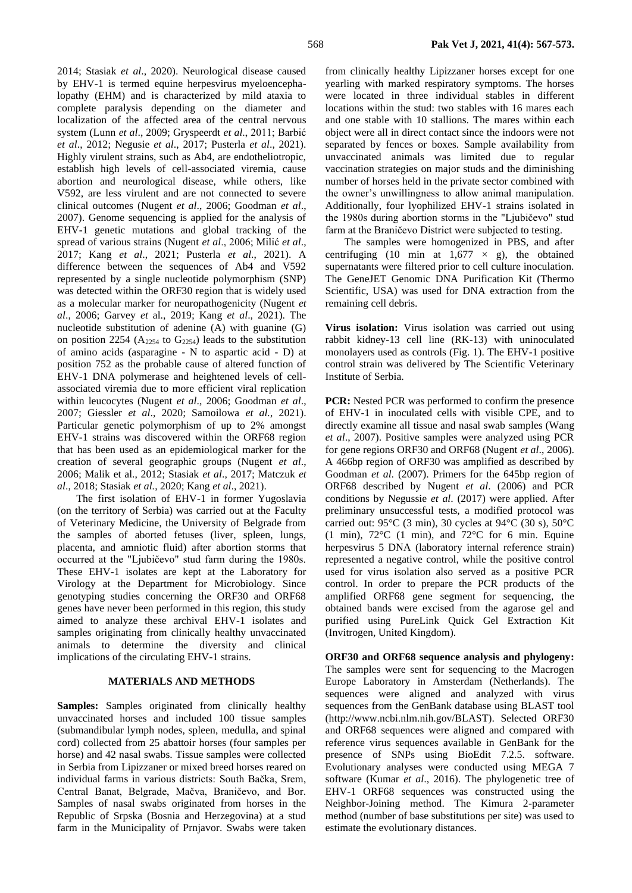2014; Stasiak *et al*., 2020). Neurological disease caused by EHV-1 is termed equine herpesvirus myeloencephalopathy (EHM) and is characterized by mild ataxia to complete paralysis depending on the diameter and localization of the affected area of the central nervous system (Lunn *et al*., 2009; Gryspeerdt *et al*., 2011; Barbić *et al*., 2012; Negusie *et al*., 2017; Pusterla *et al*., 2021). Highly virulent strains, such as Ab4, are endotheliotropic, establish high levels of cell-associated viremia, cause abortion and neurological disease, while others, like V592, are less virulent and are not connected to severe clinical outcomes (Nugent *et al*., 2006; Goodman *et al*., 2007). Genome sequencing is applied for the analysis of EHV-1 genetic mutations and global tracking of the spread of various strains (Nugent *et al*., 2006; Milić *et al*., 2017; Kang *et al*., 2021; Pusterla *et al*., 2021). A difference between the sequences of Ab4 and V592 represented by a single nucleotide polymorphism (SNP) was detected within the ORF30 region that is widely used as a molecular marker for neuropathogenicity (Nugent *et al*., 2006; Garvey *et* al., 2019; Kang *et al*., 2021). The nucleotide substitution of adenine (A) with guanine (G) on position 2254 ( $A_{2254}$  to  $G_{2254}$ ) leads to the substitution of amino acids (asparagine - N to aspartic acid - D) at position 752 as the probable cause of altered function of EHV-1 DNA polymerase and heightened levels of cellassociated viremia due to more efficient viral replication within leucocytes (Nugent *et al*., 2006; Goodman *et al*., 2007; Giessler *et al*., 2020; Samoilowa *et al.*, 2021). Particular genetic polymorphism of up to 2% amongst EHV-1 strains was discovered within the ORF68 region that has been used as an epidemiological marker for the creation of several geographic groups (Nugent *et al*., 2006; Malik et al., 2012; Stasiak *et al*., 2017; Matczuk *et al*., 2018; Stasiak *et al.*, 2020; Kang *et al*., 2021).

The first isolation of EHV-1 in former Yugoslavia (on the territory of Serbia) was carried out at the Faculty of Veterinary Medicine, the University of Belgrade from the samples of aborted fetuses (liver, spleen, lungs, placenta, and amniotic fluid) after abortion storms that occurred at the "Ljubičevo" stud farm during the 1980s. These EHV-1 isolates are kept at the Laboratory for Virology at the Department for Microbiology. Since genotyping studies concerning the ORF30 and ORF68 genes have never been performed in this region, this study aimed to analyze these archival EHV-1 isolates and samples originating from clinically healthy unvaccinated animals to determine the diversity and clinical implications of the circulating EHV-1 strains.

## **MATERIALS AND METHODS**

**Samples:** Samples originated from clinically healthy unvaccinated horses and included 100 tissue samples (submandibular lymph nodes, spleen, medulla, and spinal cord) collected from 25 abattoir horses (four samples per horse) and 42 nasal swabs. Tissue samples were collected in Serbia from Lipizzaner or mixed breed horses reared on individual farms in various districts: South Bačka, Srem, Central Banat, Belgrade, Mačva, Braničevo, and Bor. Samples of nasal swabs originated from horses in the Republic of Srpska (Bosnia and Herzegovina) at a stud farm in the Municipality of Prnjavor. Swabs were taken from clinically healthy Lipizzaner horses except for one yearling with marked respiratory symptoms. The horses were located in three individual stables in different locations within the stud: two stables with 16 mares each and one stable with 10 stallions. The mares within each object were all in direct contact since the indoors were not separated by fences or boxes. Sample availability from unvaccinated animals was limited due to regular vaccination strategies on major studs and the diminishing number of horses held in the private sector combined with the owner's unwillingness to allow animal manipulation. Additionally, four lyophilized EHV-1 strains isolated in the 1980s during abortion storms in the "Ljubičevo" stud farm at the Braničevo District were subjected to testing.

The samples were homogenized in PBS, and after centrifuging (10 min at  $1,677 \times g$ ), the obtained supernatants were filtered prior to cell culture inoculation. The GeneJET Genomic DNA Purification Kit (Thermo Scientific, USA) was used for DNA extraction from the remaining cell debris.

**Virus isolation:** Virus isolation was carried out using rabbit kidney-13 cell line (RK-13) with uninoculated monolayers used as controls (Fig. 1). The EHV-1 positive control strain was delivered by The Scientific Veterinary Institute of Serbia.

**PCR:** Nested PCR was performed to confirm the presence of EHV-1 in inoculated cells with visible CPE, and to directly examine all tissue and nasal swab samples (Wang *et al*., 2007). Positive samples were analyzed using PCR for gene regions ORF30 and ORF68 (Nugent *et al*., 2006). A 466bp region of ORF30 was amplified as described by Goodman *et al*. (2007). Primers for the 645bp region of ORF68 described by Nugent *et al*. (2006) and PCR conditions by Negussie *et al*. (2017) were applied. After preliminary unsuccessful tests, a modified protocol was carried out: 95°C (3 min), 30 cycles at 94°C (30 s), 50°C (1 min),  $72^{\circ}$ C (1 min), and  $72^{\circ}$ C for 6 min. Equine herpesvirus 5 DNA (laboratory internal reference strain) represented a negative control, while the positive control used for virus isolation also served as a positive PCR control. In order to prepare the PCR products of the amplified ORF68 gene segment for sequencing, the obtained bands were excised from the agarose gel and purified using PureLink Quick Gel Extraction Kit (Invitrogen, United Kingdom).

**ORF30 and ORF68 sequence analysis and phylogeny:**  The samples were sent for sequencing to the Macrogen Europe Laboratory in Amsterdam (Netherlands). The sequences were aligned and analyzed with virus sequences from the GenBank database using BLAST tool (http://www.ncbi.nlm.nih.gov/BLAST). Selected ORF30 and ORF68 sequences were aligned and compared with reference virus sequences available in GenBank for the presence of SNPs using BioEdit 7.2.5. software. Evolutionary analyses were conducted using MEGA 7 software (Kumar *et al*., 2016). The phylogenetic tree of EHV-1 ORF68 sequences was constructed using the Neighbor-Joining method. The Kimura 2-parameter method (number of base substitutions per site) was used to estimate the evolutionary distances.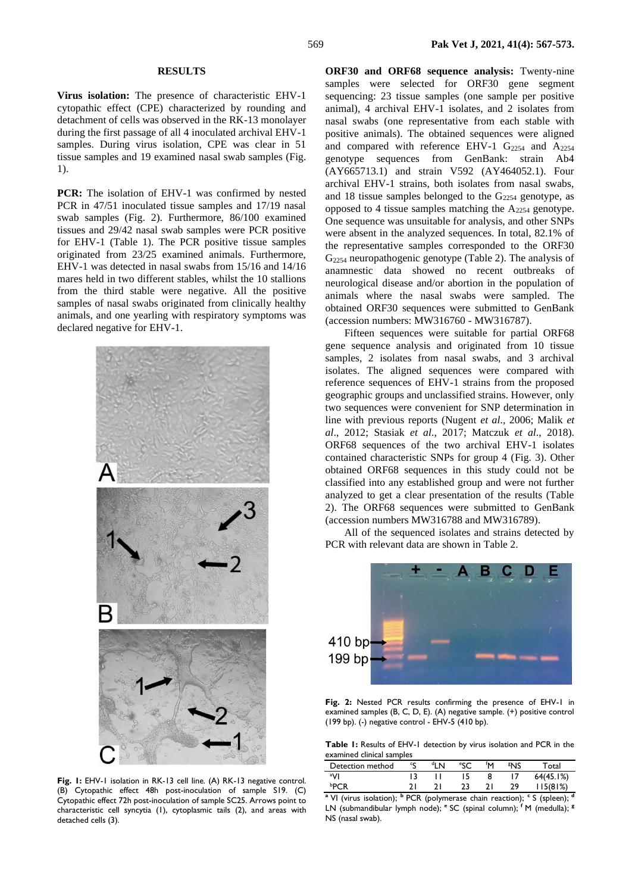#### **RESULTS**

**Virus isolation:** The presence of characteristic EHV-1 cytopathic effect (CPE) characterized by rounding and detachment of cells was observed in the RK-13 monolayer during the first passage of all 4 inoculated archival EHV-1 samples. During virus isolation, CPE was clear in 51 tissue samples and 19 examined nasal swab samples (Fig. 1).

**PCR:** The isolation of EHV-1 was confirmed by nested PCR in 47/51 inoculated tissue samples and 17/19 nasal swab samples (Fig. 2). Furthermore, 86/100 examined tissues and 29/42 nasal swab samples were PCR positive for EHV-1 (Table 1). The PCR positive tissue samples originated from 23/25 examined animals. Furthermore, EHV-1 was detected in nasal swabs from 15/16 and 14/16 mares held in two different stables, whilst the 10 stallions from the third stable were negative. All the positive samples of nasal swabs originated from clinically healthy animals, and one yearling with respiratory symptoms was declared negative for EHV-1.



**Fig. 1:** EHV-1 isolation in RK-13 cell line. (A) RK-13 negative control. (B) Cytopathic effect 48h post-inoculation of sample S19. (C) Cytopathic effect 72h post-inoculation of sample SC25. Arrows point to characteristic cell syncytia (1), cytoplasmic tails (2), and areas with detached cells (3).

**ORF30 and ORF68 sequence analysis:** Twenty-nine samples were selected for ORF30 gene segment sequencing: 23 tissue samples (one sample per positive animal), 4 archival EHV-1 isolates, and 2 isolates from nasal swabs (one representative from each stable with positive animals). The obtained sequences were aligned and compared with reference EHV-1  $G_{2254}$  and  $A_{2254}$ genotype sequences from GenBank: strain Ab4 (AY665713.1) and strain V592 (AY464052.1). Four archival EHV-1 strains, both isolates from nasal swabs, and 18 tissue samples belonged to the  $G<sub>2254</sub>$  genotype, as opposed to 4 tissue samples matching the  $A_{2254}$  genotype. One sequence was unsuitable for analysis, and other SNPs were absent in the analyzed sequences. In total, 82.1% of the representative samples corresponded to the ORF30  $G<sub>2254</sub>$  neuropathogenic genotype (Table 2). The analysis of anamnestic data showed no recent outbreaks of neurological disease and/or abortion in the population of animals where the nasal swabs were sampled. The obtained ORF30 sequences were submitted to GenBank (accession numbers: MW316760 - MW316787).

Fifteen sequences were suitable for partial ORF68 gene sequence analysis and originated from 10 tissue samples, 2 isolates from nasal swabs, and 3 archival isolates. The aligned sequences were compared with reference sequences of EHV-1 strains from the proposed geographic groups and unclassified strains. However, only two sequences were convenient for SNP determination in line with previous reports (Nugent *et al*., 2006; Malik *et al*., 2012; Stasiak *et al*., 2017; Matczuk *et al*., 2018). ORF68 sequences of the two archival EHV-1 isolates contained characteristic SNPs for group 4 (Fig. 3). Other obtained ORF68 sequences in this study could not be classified into any established group and were not further analyzed to get a clear presentation of the results (Table 2). The ORF68 sequences were submitted to GenBank (accession numbers MW316788 and MW316789).

All of the sequenced isolates and strains detected by PCR with relevant data are shown in Table 2.



**Fig. 2:** Nested PCR results confirming the presence of EHV-1 in examined samples (B, C, D, E). (A) negative sample. (+) positive control (199 bp). (-) negative control - EHV-5 (410 bp).

**Table 1:** Results of EHV-1 detection by virus isolation and PCR in the examined clinical samples

| Detection method | cc | <sup>d</sup> l N | fΜ | 8NS | <sup>-</sup> otal |
|------------------|----|------------------|----|-----|-------------------|
| aVI              |    |                  |    |     | 64(45.1%)         |
|                  |    |                  |    | 29  | ! 15(81%)         |

**<sup>a</sup>**VI (virus isolation); **<sup>b</sup>**PCR (polymerase chain reaction); **<sup>c</sup>**S (spleen); **<sup>d</sup>** LN (submandibular lymph node); <sup>e</sup> SC (spinal column); <sup>f</sup> M (medulla); <sup>g</sup> NS (nasal swab).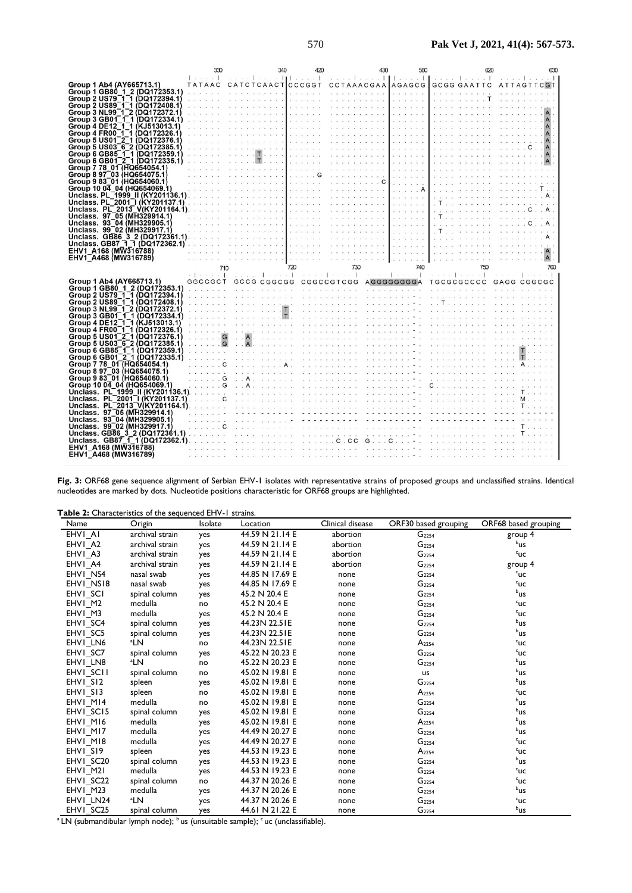|                                                                | 330                 | 340                                                                                                                                                                 | 420 | 430                                                                                                                                                                                                                                | 560                                     | ഞ                                                                                                                                                                                                                              | 630                                                                                                                                                                                                                                |
|----------------------------------------------------------------|---------------------|---------------------------------------------------------------------------------------------------------------------------------------------------------------------|-----|------------------------------------------------------------------------------------------------------------------------------------------------------------------------------------------------------------------------------------|-----------------------------------------|--------------------------------------------------------------------------------------------------------------------------------------------------------------------------------------------------------------------------------|------------------------------------------------------------------------------------------------------------------------------------------------------------------------------------------------------------------------------------|
|                                                                | Removement Research |                                                                                                                                                                     |     | $\sim$ 11 $\sim$ $\sim$ 1 $\sim$ $\sim$ 1 $\sim$ $\sim$ $\sim$ 1 $\sim$ 1 $\sim$ 1 $\sim$                                                                                                                                          |                                         | xxxx Laxxx1                                                                                                                                                                                                                    | $x x x x$                                                                                                                                                                                                                          |
| Group 1 Ab4 (AY665713.1)                                       |                     |                                                                                                                                                                     |     | TATAAC CATCTCAACTCCCGGT CCTAAACGAA AGAGCG                                                                                                                                                                                          |                                         | <b>GCGG GAATTC</b>                                                                                                                                                                                                             | ATTAGTTCGT                                                                                                                                                                                                                         |
| Group 1 GB80 1 2 (DQ172353.1)                                  | .                   |                                                                                                                                                                     |     |                                                                                                                                                                                                                                    | .                                       | a concert                                                                                                                                                                                                                      |                                                                                                                                                                                                                                    |
| Group 2 US79 1 1 (DQ172394.1)                                  |                     |                                                                                                                                                                     |     | $\sim$ . The contract of the second contract of the second contract of the second contract of the second contract of the second contract of the second contract of the second contract of the second contract of the second con    | 100010102010101                         | on accordance of a control T.                                                                                                                                                                                                  | records the car has been are an any                                                                                                                                                                                                |
| Group 2 US89 1 1 (DQ172408.1)                                  |                     | $\frac{1}{2}$ and $\frac{1}{2}$ and $\frac{1}{2}$ and $\frac{1}{2}$ and $\frac{1}{2}$ . The set of $\frac{1}{2}$ and $\frac{1}{2}$ and $\frac{1}{2}$                |     |                                                                                                                                                                                                                                    | .                                       |                                                                                                                                                                                                                                |                                                                                                                                                                                                                                    |
| Group 3 NL99-1-2 (DQ172372.1)                                  |                     | 1945 1956 - VR RANG S VR FILMON CO - CONDINING CO                                                                                                                   |     |                                                                                                                                                                                                                                    | .                                       |                                                                                                                                                                                                                                |                                                                                                                                                                                                                                    |
| Group 3 GB01 1 1 (DQ172334.1)                                  |                     |                                                                                                                                                                     |     |                                                                                                                                                                                                                                    | management and con-                     |                                                                                                                                                                                                                                |                                                                                                                                                                                                                                    |
| Group 4 DE12 1 1 (KJ513013.1)<br>Group 4 FR00 1 1 (DQ172326.1) |                     | and the second contract of the second second contract of the second second second<br>ו מנוס מומות ומנוס ביטורים מנוס מומות המודים מומות המודים מנוס ביטורים מנוס מו |     |                                                                                                                                                                                                                                    |                                         |                                                                                                                                                                                                                                |                                                                                                                                                                                                                                    |
| Group 5 US01 2 1 (DQ172376.1)                                  |                     |                                                                                                                                                                     |     | a componente de la componente de la componente de la componente de la componente de la componente de la compon                                                                                                                     | .                                       |                                                                                                                                                                                                                                |                                                                                                                                                                                                                                    |
| Group 5 US03 6 2 (DQ172385.1)                                  |                     | contra a se o como estado entre contra a el seu o como estado de como estado entre entre entre el se                                                                |     |                                                                                                                                                                                                                                    | .<br>Individual and and and and and     | www.com communications and communications of the communication of the communication of the communication of the communication of the communication of the communication of the communication of the communication of the commu |                                                                                                                                                                                                                                    |
|                                                                |                     |                                                                                                                                                                     |     |                                                                                                                                                                                                                                    | sense or reliance and                   |                                                                                                                                                                                                                                |                                                                                                                                                                                                                                    |
|                                                                |                     |                                                                                                                                                                     |     |                                                                                                                                                                                                                                    | .                                       |                                                                                                                                                                                                                                |                                                                                                                                                                                                                                    |
| Group 7 78 01 (HQ654054.1)                                     |                     |                                                                                                                                                                     |     |                                                                                                                                                                                                                                    | and a series                            |                                                                                                                                                                                                                                | an arrivance of the second control control of the arrivance of the control                                                                                                                                                         |
| Group 8 97 03 (HQ654075.1)                                     |                     |                                                                                                                                                                     |     |                                                                                                                                                                                                                                    |                                         |                                                                                                                                                                                                                                |                                                                                                                                                                                                                                    |
| Group 9 83 01 (HQ654060.1)                                     |                     | and any property and any control of the set                                                                                                                         |     | . <b>. C</b>                                                                                                                                                                                                                       | .                                       |                                                                                                                                                                                                                                |                                                                                                                                                                                                                                    |
| Group 10 04 04 (HQ654069.1)                                    |                     |                                                                                                                                                                     |     |                                                                                                                                                                                                                                    | . A                                     |                                                                                                                                                                                                                                | TTTT SYNNER NORD SYNTEE                                                                                                                                                                                                            |
|                                                                |                     |                                                                                                                                                                     |     |                                                                                                                                                                                                                                    |                                         |                                                                                                                                                                                                                                |                                                                                                                                                                                                                                    |
|                                                                |                     |                                                                                                                                                                     |     |                                                                                                                                                                                                                                    | .                                       |                                                                                                                                                                                                                                | . There are a real measure and any                                                                                                                                                                                                 |
|                                                                |                     |                                                                                                                                                                     |     |                                                                                                                                                                                                                                    | 2012/01/03 01:05                        |                                                                                                                                                                                                                                |                                                                                                                                                                                                                                    |
| Unclass. 97 05 (MH329914.1)                                    |                     | <sup>5</sup> ana a a s-s se serena a a a <b>l</b> e recenta - c'este recenta a                                                                                      |     |                                                                                                                                                                                                                                    | .                                       | . T                                                                                                                                                                                                                            |                                                                                                                                                                                                                                    |
| Unclass. 93 04 (MH329905.1)                                    |                     |                                                                                                                                                                     |     |                                                                                                                                                                                                                                    | .                                       | . 0                                                                                                                                                                                                                            |                                                                                                                                                                                                                                    |
| Unclass. 99 02 (MH329917.1)                                    |                     |                                                                                                                                                                     |     |                                                                                                                                                                                                                                    |                                         |                                                                                                                                                                                                                                | $\sqrt{T}$ , and a set of a set of the set of a set of a set of a                                                                                                                                                                  |
|                                                                |                     |                                                                                                                                                                     |     |                                                                                                                                                                                                                                    | .                                       |                                                                                                                                                                                                                                |                                                                                                                                                                                                                                    |
|                                                                |                     |                                                                                                                                                                     |     |                                                                                                                                                                                                                                    | and the state of the                    |                                                                                                                                                                                                                                |                                                                                                                                                                                                                                    |
| EHV1 A168 (MW316788)                                           |                     |                                                                                                                                                                     |     |                                                                                                                                                                                                                                    |                                         |                                                                                                                                                                                                                                |                                                                                                                                                                                                                                    |
| EHV1_A468 (MW316789)                                           |                     |                                                                                                                                                                     |     | <b>CONSIDERED</b> IN THE CONSIDERED PROPERTY AND RESIDENCE IN A REPORT OF THE CONSIDERED PROPERTY AND RELEASED FOR A REPORT OF THE CONSIDERED PROPERTY AND RELEASED FOR A REPORT OF THE CONSIDERED PROPERTY AND RELEASED FOR A REP |                                         |                                                                                                                                                                                                                                |                                                                                                                                                                                                                                    |
|                                                                |                     |                                                                                                                                                                     |     |                                                                                                                                                                                                                                    |                                         |                                                                                                                                                                                                                                |                                                                                                                                                                                                                                    |
|                                                                | 710                 |                                                                                                                                                                     | 720 | 730                                                                                                                                                                                                                                | 740                                     | 750                                                                                                                                                                                                                            | 760                                                                                                                                                                                                                                |
|                                                                | 2.12222211          |                                                                                                                                                                     |     |                                                                                                                                                                                                                                    |                                         |                                                                                                                                                                                                                                | representations of contract the contract of contract of the contract to the contract of                                                                                                                                            |
| Group 1 Ab4 (AY665713.1)                                       | GGCCGCT             |                                                                                                                                                                     |     |                                                                                                                                                                                                                                    |                                         |                                                                                                                                                                                                                                | GCCG CGGCGG CGGCCGTCGG AGGGGGGGGA TGCGCGCCCC GAGG CGGCGC                                                                                                                                                                           |
| Group 1 GB80 1 2 (DQ172353.1)                                  |                     |                                                                                                                                                                     |     | <b>TTO ASSESSMENT VALUE AND T</b>                                                                                                                                                                                                  |                                         |                                                                                                                                                                                                                                |                                                                                                                                                                                                                                    |
| Group 2 US79 1 1 (DQ172394.1)                                  |                     | at a produced a line of a microscope of or an                                                                                                                       |     | .                                                                                                                                                                                                                                  | $x - 1 = 0$ . $x - 1 = 0$ . $x - 1 = 0$ |                                                                                                                                                                                                                                |                                                                                                                                                                                                                                    |
| Group 2 US89 1 1 (DQ172408.1)                                  |                     |                                                                                                                                                                     |     |                                                                                                                                                                                                                                    |                                         |                                                                                                                                                                                                                                |                                                                                                                                                                                                                                    |
| Group 3 NL99 1 2 (DQ172372.1)<br>Group 3 GB01 1 1 (DQ172334.1) |                     |                                                                                                                                                                     |     |                                                                                                                                                                                                                                    |                                         |                                                                                                                                                                                                                                | економия село в полнят «Шкото е спомогласт се сможната 8 мг на сможната се стопата на верхните на селото и п<br>remains response to the property of the company of the company of the company of the company of the company of the |
| Group 4 DE12 <sup>-1-1</sup> (KJ513013.1)                      | 20000000            |                                                                                                                                                                     |     |                                                                                                                                                                                                                                    |                                         |                                                                                                                                                                                                                                | veze ana dia 1920 metatra 1930 a 1930 metatra 1930 a 2010 a 2020 a 2030 metatra 1930                                                                                                                                               |
| Group 4 FR00 1 1 (DQ172326.1)                                  |                     |                                                                                                                                                                     |     |                                                                                                                                                                                                                                    |                                         |                                                                                                                                                                                                                                |                                                                                                                                                                                                                                    |
| Group 5 US01 2 1 (DQ172376.1                                   | . G                 |                                                                                                                                                                     |     |                                                                                                                                                                                                                                    |                                         |                                                                                                                                                                                                                                | <b>I.A.</b> Samuel Communication of the Communication of the Communication of the Communication                                                                                                                                    |
| Group 5 US03 6 2 (DQ172385.1                                   | $$ G                |                                                                                                                                                                     |     | Avanciers recommended comments a comments of a comments of a                                                                                                                                                                       |                                         |                                                                                                                                                                                                                                |                                                                                                                                                                                                                                    |
| Group 6 GB85 1 1 (DQ172359.1)                                  | 222333              |                                                                                                                                                                     |     |                                                                                                                                                                                                                                    |                                         |                                                                                                                                                                                                                                |                                                                                                                                                                                                                                    |
| Group 6 GB01 2 1 (DQ172335.1)                                  | an an amazon of the |                                                                                                                                                                     |     |                                                                                                                                                                                                                                    |                                         |                                                                                                                                                                                                                                |                                                                                                                                                                                                                                    |
| Group 7 78 01 (HQ654054.1)                                     |                     |                                                                                                                                                                     |     |                                                                                                                                                                                                                                    |                                         |                                                                                                                                                                                                                                |                                                                                                                                                                                                                                    |
| Group 8 97 03 (HQ654075.1)                                     |                     |                                                                                                                                                                     |     |                                                                                                                                                                                                                                    |                                         |                                                                                                                                                                                                                                | The procession of a reflex to the the process customers of a ratio                                                                                                                                                                 |
| Group 9 83 01 (HQ654060.1)                                     | G                   |                                                                                                                                                                     |     |                                                                                                                                                                                                                                    |                                         |                                                                                                                                                                                                                                | viAs randas - responsa es - responsa - responsa es - responsa - responsa ex                                                                                                                                                        |
| Group 10 04 04 (HQ654069.1)                                    | $\ldots$ G          |                                                                                                                                                                     |     |                                                                                                                                                                                                                                    |                                         |                                                                                                                                                                                                                                |                                                                                                                                                                                                                                    |
| Unclass, PL 1999 II (KY201136.1)                               | an announcement     |                                                                                                                                                                     |     | , a consequence of the consequence of the consequence of $\sim$ . The consequence of $\Gamma$                                                                                                                                      |                                         |                                                                                                                                                                                                                                | come or or or                                                                                                                                                                                                                      |
| Unclass. PL 2001 1 (KY201137.1)                                |                     |                                                                                                                                                                     |     |                                                                                                                                                                                                                                    |                                         |                                                                                                                                                                                                                                |                                                                                                                                                                                                                                    |
| Unclass. 97 05 (MH329914.1)                                    | 1.1.1.11            |                                                                                                                                                                     |     |                                                                                                                                                                                                                                    |                                         |                                                                                                                                                                                                                                | T.                                                                                                                                                                                                                                 |
| Unclass. 93 04 (MH329905.1)                                    |                     | <b>ALCOHOL: A REAL PROPERTY AND A</b>                                                                                                                               |     | $\sim$ . The contribution of the contribution of the contribution of the contribution of the contribution of the contribution of the contribution of the contribution of the contribution of the contribution of the contributi    |                                         |                                                                                                                                                                                                                                |                                                                                                                                                                                                                                    |
| Unclass. 99 02 (MH329917.1)                                    |                     |                                                                                                                                                                     |     |                                                                                                                                                                                                                                    |                                         |                                                                                                                                                                                                                                | .                                                                                                                                                                                                                                  |
|                                                                |                     |                                                                                                                                                                     |     |                                                                                                                                                                                                                                    |                                         | the complete of the State of the complete state of the complete state of the complete state of the complete state of the complete state of the complete state of the complete state of the complete state of the complete stat |                                                                                                                                                                                                                                    |
|                                                                |                     |                                                                                                                                                                     |     | G                                                                                                                                                                                                                                  |                                         |                                                                                                                                                                                                                                |                                                                                                                                                                                                                                    |
| EHV1 A168 (MW316788)<br>EHV1 A468 (MW316789)                   |                     |                                                                                                                                                                     |     |                                                                                                                                                                                                                                    |                                         |                                                                                                                                                                                                                                | remote a response a comparativa de la comparación de la comparación de la comparación de la comparación de la                                                                                                                      |

**Fig. 3:** ORF68 gene sequence alignment of Serbian EHV-1 isolates with representative strains of proposed groups and unclassified strains. Identical nucleotides are marked by dots. Nucleotide positions characteristic for ORF68 groups are highlighted.

**Table 2:** Characteristics of the sequenced EHV-1 strains.

| Name                           | Origin          | Isolate | Location                        | Clinical disease             | ORF30 based grouping | ORF68 based grouping |
|--------------------------------|-----------------|---------|---------------------------------|------------------------------|----------------------|----------------------|
| EHVI AI                        | archival strain | yes     | 44.59 N 21.14 E                 | abortion                     | G <sub>2254</sub>    | group 4              |
| EHVI A2                        | archival strain | yes     | 44.59 N 21.14 E                 | abortion                     | G <sub>2254</sub>    | b <sub>us</sub>      |
| EHVI A3                        | archival strain | yes     | 44.59 N 21.14 E                 | abortion                     | G <sub>2254</sub>    | $c$ uc               |
| EHVI A4                        | archival strain | yes     | 44.59 N 21.14 E                 | abortion                     | $G_{2254}$           | group 4              |
| EHVI NS4                       | nasal swab      | yes     | 44.85 N 17.69 E                 | none                         | $G_{2254}$           | $c$ uc               |
| EHVI NS18                      | nasal swab      | yes     | 44.85 N 17.69 E                 | none                         | G <sub>2254</sub>    | $c$ uc               |
| EHVI SCI                       | spinal column   | yes     | 45.2 N 20.4 E                   | none                         | G <sub>2254</sub>    | b <sub>us</sub>      |
| EHVI M2                        | medulla         | no      | 45.2 N 20.4 E                   | none                         | $G_{2254}$           | $c$ uc               |
| EHVI M3                        | medulla         | yes     | 45.2 N 20.4 E                   | none                         | $G_{2254}$           | $c$ uc               |
| EHVI SC4                       | spinal column   | yes     | 44.23N 22.51E                   | none                         | G <sub>2254</sub>    | b <sub>us</sub>      |
| EHVI_SC5                       | spinal column   | yes     | 44.23N 22.51E                   | none                         | G <sub>2254</sub>    | <sup>b</sup> us      |
| EHVI LN6                       | ªLN             | no      | 44.23N 22.51E                   | none                         | A <sub>2254</sub>    | $c$ uc               |
| EHVI SC7                       | spinal column   | yes     | 45.22 N 20.23 E                 | none                         | $G_{2254}$           | $c$ uc               |
| EHVI LN8                       | ªLN             | no      | 45.22 N 20.23 E                 | none                         | G <sub>2254</sub>    | b <sub>us</sub>      |
| EHVI SCII                      | spinal column   | no      | 45.02 N 19.81 E                 | none                         | us                   | b <sub>us</sub>      |
| EHVI SI2                       | spleen          | yes     | 45.02 N 19.81 E                 | none                         | G <sub>2254</sub>    | b <sub>us</sub>      |
| EHVI SI3                       | spleen          | no      | 45.02 N 19.81 E                 | none                         | $A_{2254}$           | $c_{\mathsf{UC}}$    |
| EHVI MI4                       | medulla         | no      | 45.02 N 19.81 E                 | none                         | G <sub>2254</sub>    | b <sub>us</sub>      |
| EHVI SCI5                      | spinal column   | yes     | 45.02 N 19.81 E                 | none                         | G <sub>2254</sub>    | b <sub>us</sub>      |
| EHVI MI6                       | medulla         | yes     | 45.02 N 19.81 E                 | none                         | $A_{2254}$           | b <sub>us</sub>      |
| EHVI MI7                       | medulla         | yes     | 44.49 N 20.27 E                 | none                         | $G_{2254}$           | b <sub>us</sub>      |
| EHVI MI8                       | medulla         | yes     | 44.49 N 20.27 E                 | none                         | G <sub>2254</sub>    | $c$ uc               |
| EHVI SI9                       | spleen          | yes     | 44.53 N 19.23 E                 | none                         | A <sub>2254</sub>    | $c$ uc               |
| EHVI SC20                      | spinal column   | yes     | 44.53 N 19.23 E                 | none                         | $G_{2254}$           | b <sub>us</sub>      |
| EHVI M21                       | medulla         | yes     | 44.53 N 19.23 E                 | none                         | $G_{2254}$           | $c$ uc               |
| EHVI SC22                      | spinal column   | no      | 44.37 N 20.26 E                 | none                         | G <sub>2254</sub>    | $c$ uc               |
| EHVI M23                       | medulla         | yes     | 44.37 N 20.26 E                 | none                         | G <sub>2254</sub>    | <sup>b</sup> us      |
| EHVI LN24                      | <sup>a</sup> LN | yes     | 44.37 N 20.26 E                 | none                         | G <sub>2254</sub>    | $c$ uc               |
| EHVI SC25<br>.<br>$\mathbf{r}$ | spinal column   | yes     | 44.61 N 21.22 E<br>$\mathbf{1}$ | none<br>$\sim$ $\sim$ $\sim$ | $G_{2254}$           | b <sub>us</sub>      |

<sup>a</sup> LN (submandibular lymph node); <sup>b</sup> us (unsuitable sample); <sup>c</sup> uc (unclassifiable).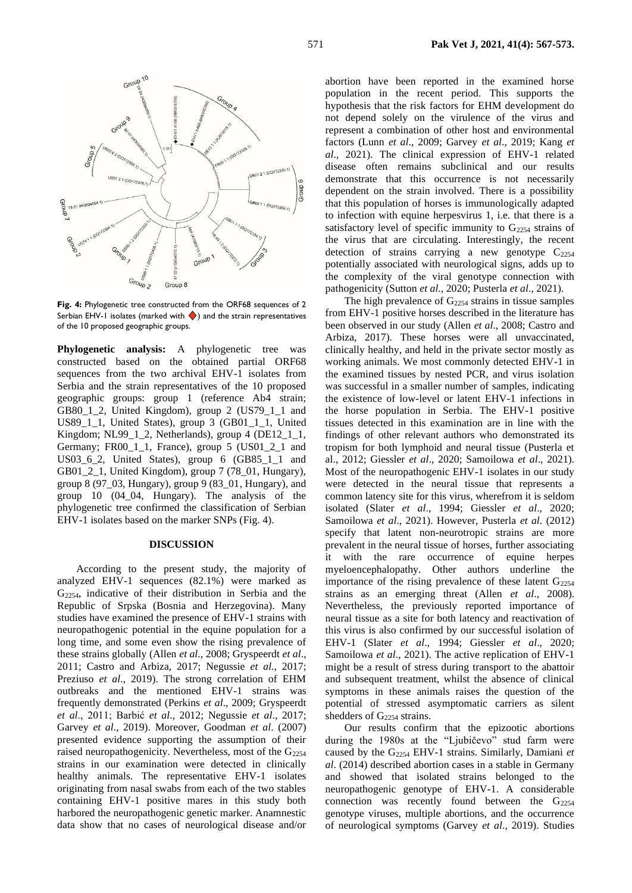

**Fig. 4:** Phylogenetic tree constructed from the ORF68 sequences of 2 Serbian EHV-1 isolates (marked with  $\blacklozenge$ ) and the strain representatives of the 10 proposed geographic groups.

**Phylogenetic analysis:** A phylogenetic tree was constructed based on the obtained partial ORF68 sequences from the two archival EHV-1 isolates from Serbia and the strain representatives of the 10 proposed geographic groups: group 1 (reference Ab4 strain; GB80\_1\_2, United Kingdom), group 2 (US79\_1\_1 and US89\_1\_1, United States), group 3 (GB01\_1\_1, United Kingdom; NL99\_1\_2, Netherlands), group 4 (DE12\_1\_1, Germany; FR00\_1\_1, France), group 5 (US01\_2\_1 and US03\_6\_2, United States), group 6 (GB85\_1\_1 and GB01\_2\_1, United Kingdom), group 7 (78\_01, Hungary), group 8 (97\_03, Hungary), group 9 (83\_01, Hungary), and group 10 (04\_04, Hungary). The analysis of the phylogenetic tree confirmed the classification of Serbian EHV-1 isolates based on the marker SNPs (Fig. 4).

### **DISCUSSION**

According to the present study, the majority of analyzed EHV-1 sequences (82.1%) were marked as G2254, indicative of their distribution in Serbia and the Republic of Srpska (Bosnia and Herzegovina). Many studies have examined the presence of EHV-1 strains with neuropathogenic potential in the equine population for a long time, and some even show the rising prevalence of these strains globally (Allen *et al*., 2008; Gryspeerdt *et al*., 2011; Castro and Arbiza, 2017; Negussie *et al*., 2017; Preziuso *et al*., 2019). The strong correlation of EHM outbreaks and the mentioned EHV-1 strains was frequently demonstrated (Perkins *et al*., 2009; Gryspeerdt *et al*., 2011; Barbić *et al*., 2012; Negussie *et al*., 2017; Garvey *et al*., 2019). Moreover, Goodman *et al*. (2007) presented evidence supporting the assumption of their raised neuropathogenicity. Nevertheless, most of the G<sub>2254</sub> strains in our examination were detected in clinically healthy animals. The representative EHV-1 isolates originating from nasal swabs from each of the two stables containing EHV-1 positive mares in this study both harbored the neuropathogenic genetic marker. Anamnestic data show that no cases of neurological disease and/or

abortion have been reported in the examined horse population in the recent period. This supports the hypothesis that the risk factors for EHM development do not depend solely on the virulence of the virus and represent a combination of other host and environmental factors (Lunn *et al*., 2009; Garvey *et al*., 2019; Kang *et al*., 2021). The clinical expression of EHV-1 related disease often remains subclinical and our results demonstrate that this occurrence is not necessarily dependent on the strain involved. There is a possibility that this population of horses is immunologically adapted to infection with equine herpesvirus 1, i.e. that there is a satisfactory level of specific immunity to  $G_{2254}$  strains of the virus that are circulating. Interestingly, the recent detection of strains carrying a new genotype  $C_{2254}$ potentially associated with neurological signs, adds up to the complexity of the viral genotype connection with pathogenicity (Sutton *et al*., 2020; Pusterla *et al*., 2021).

The high prevalence of  $G_{2254}$  strains in tissue samples from EHV-1 positive horses described in the literature has been observed in our study (Allen *et al*., 2008; Castro and Arbiza, 2017). These horses were all unvaccinated, clinically healthy, and held in the private sector mostly as working animals. We most commonly detected EHV-1 in the examined tissues by nested PCR, and virus isolation was successful in a smaller number of samples, indicating the existence of low-level or latent EHV-1 infections in the horse population in Serbia. The EHV-1 positive tissues detected in this examination are in line with the findings of other relevant authors who demonstrated its tropism for both lymphoid and neural tissue (Pusterla et al., 2012; Giessler *et al*., 2020; Samoilowa *et al*., 2021). Most of the neuropathogenic EHV-1 isolates in our study were detected in the neural tissue that represents a common latency site for this virus, wherefrom it is seldom isolated (Slater *et al*., 1994; Giessler *et al*., 2020; Samoilowa *et al*., 2021). However, Pusterla *et al*. (2012) specify that latent non-neurotropic strains are more prevalent in the neural tissue of horses, further associating it with the rare occurrence of equine herpes myeloencephalopathy. Other authors underline the importance of the rising prevalence of these latent  $G<sub>2254</sub>$ strains as an emerging threat (Allen *et al*., 2008). Nevertheless, the previously reported importance of neural tissue as a site for both latency and reactivation of this virus is also confirmed by our successful isolation of EHV-1 (Slater *et al*., 1994; Giessler *et al*., 2020; Samoilowa *et al*., 2021). The active replication of EHV-1 might be a result of stress during transport to the abattoir and subsequent treatment, whilst the absence of clinical symptoms in these animals raises the question of the potential of stressed asymptomatic carriers as silent shedders of G<sub>2254</sub> strains.

Our results confirm that the epizootic abortions during the 1980s at the "Ljubičevo" stud farm were caused by the G<sup>2254</sup> EHV-1 strains. Similarly, Damiani *et al*. (2014) described abortion cases in a stable in Germany and showed that isolated strains belonged to the neuropathogenic genotype of EHV-1. A considerable connection was recently found between the  $G<sub>2254</sub>$ genotype viruses, multiple abortions, and the occurrence of neurological symptoms (Garvey *et al*., 2019). Studies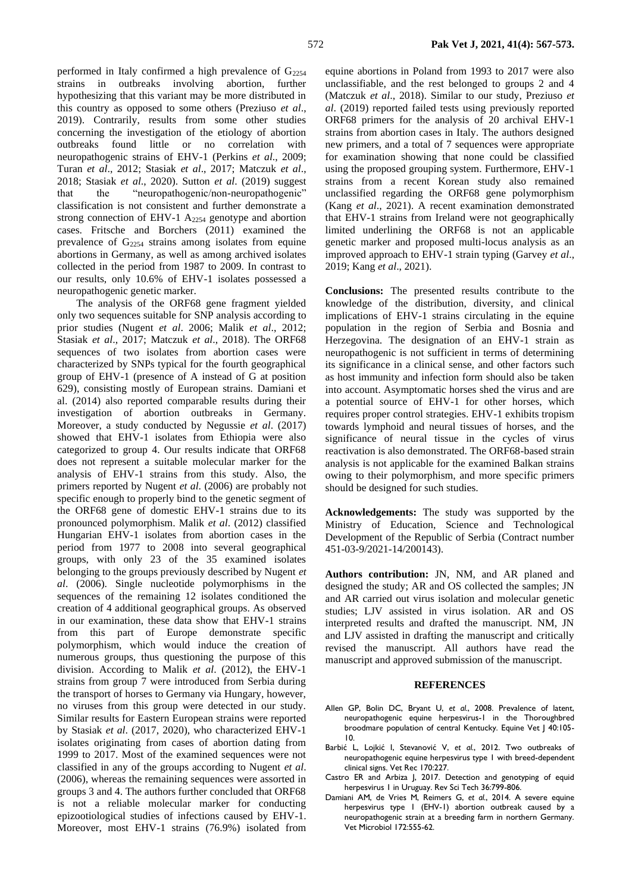performed in Italy confirmed a high prevalence of  $G_{2254}$ strains in outbreaks involving abortion, further hypothesizing that this variant may be more distributed in this country as opposed to some others (Preziuso *et al*., 2019). Contrarily, results from some other studies concerning the investigation of the etiology of abortion outbreaks found little or no correlation with neuropathogenic strains of EHV-1 (Perkins *et al*., 2009; Turan *et al*., 2012; Stasiak *et al*., 2017; Matczuk *et al*., 2018; Stasiak *et al*., 2020). Sutton *et al*. (2019) suggest that the "neuropathogenic/non-neuropathogenic" classification is not consistent and further demonstrate a strong connection of EHV-1 A<sup>2254</sup> genotype and abortion cases. Fritsche and Borchers (2011) examined the prevalence of G<sup>2254</sup> strains among isolates from equine abortions in Germany, as well as among archived isolates collected in the period from 1987 to 2009. In contrast to our results, only 10.6% of EHV-1 isolates possessed a neuropathogenic genetic marker.

The analysis of the ORF68 gene fragment yielded only two sequences suitable for SNP analysis according to prior studies (Nugent *et al*. 2006; Malik *et al*., 2012; Stasiak *et al*., 2017; Matczuk *et al*., 2018). The ORF68 sequences of two isolates from abortion cases were characterized by SNPs typical for the fourth geographical group of EHV-1 (presence of A instead of G at position 629), consisting mostly of European strains. Damiani et al. (2014) also reported comparable results during their investigation of abortion outbreaks in Germany. Moreover, a study conducted by Negussie *et al*. (2017) showed that EHV-1 isolates from Ethiopia were also categorized to group 4. Our results indicate that ORF68 does not represent a suitable molecular marker for the analysis of EHV-1 strains from this study. Also, the primers reported by Nugent *et al*. (2006) are probably not specific enough to properly bind to the genetic segment of the ORF68 gene of domestic EHV-1 strains due to its pronounced polymorphism. Malik *et al*. (2012) classified Hungarian EHV-1 isolates from abortion cases in the period from 1977 to 2008 into several geographical groups, with only 23 of the 35 examined isolates belonging to the groups previously described by Nugent *et al*. (2006). Single nucleotide polymorphisms in the sequences of the remaining 12 isolates conditioned the creation of 4 additional geographical groups. As observed in our examination, these data show that EHV-1 strains from this part of Europe demonstrate specific polymorphism, which would induce the creation of numerous groups, thus questioning the purpose of this division. According to Malik *et al*. (2012), the EHV-1 strains from group 7 were introduced from Serbia during the transport of horses to Germany via Hungary, however, no viruses from this group were detected in our study. Similar results for Eastern European strains were reported by Stasiak *et al*. (2017, 2020), who characterized EHV-1 isolates originating from cases of abortion dating from 1999 to 2017. Most of the examined sequences were not classified in any of the groups according to Nugent *et al*. (2006), whereas the remaining sequences were assorted in groups 3 and 4. The authors further concluded that ORF68 is not a reliable molecular marker for conducting epizootiological studies of infections caused by EHV-1. Moreover, most EHV-1 strains (76.9%) isolated from

equine abortions in Poland from 1993 to 2017 were also unclassifiable, and the rest belonged to groups 2 and 4 (Matczuk *et al*., 2018). Similar to our study, Preziuso *et al*. (2019) reported failed tests using previously reported ORF68 primers for the analysis of 20 archival EHV-1 strains from abortion cases in Italy. The authors designed new primers, and a total of 7 sequences were appropriate for examination showing that none could be classified using the proposed grouping system. Furthermore, EHV-1 strains from a recent Korean study also remained unclassified regarding the ORF68 gene polymorphism (Kang *et al*., 2021). A recent examination demonstrated that EHV-1 strains from Ireland were not geographically limited underlining the ORF68 is not an applicable genetic marker and proposed multi-locus analysis as an improved approach to EHV-1 strain typing (Garvey *et al*., 2019; Kang *et al*., 2021).

**Conclusions:** The presented results contribute to the knowledge of the distribution, diversity, and clinical implications of EHV-1 strains circulating in the equine population in the region of Serbia and Bosnia and Herzegovina. The designation of an EHV-1 strain as neuropathogenic is not sufficient in terms of determining its significance in a clinical sense, and other factors such as host immunity and infection form should also be taken into account. Asymptomatic horses shed the virus and are a potential source of EHV-1 for other horses, which requires proper control strategies. EHV-1 exhibits tropism towards lymphoid and neural tissues of horses, and the significance of neural tissue in the cycles of virus reactivation is also demonstrated. The ORF68-based strain analysis is not applicable for the examined Balkan strains owing to their polymorphism, and more specific primers should be designed for such studies.

**Acknowledgements:** The study was supported by the Ministry of Education, Science and Technological Development of the Republic of Serbia (Contract number 451-03-9/2021-14/200143).

**Authors contribution:** JN, NM, and AR planed and designed the study; AR and OS collected the samples; JN and AR carried out virus isolation and molecular genetic studies; LJV assisted in virus isolation. AR and OS interpreted results and drafted the manuscript. NM, JN and LJV assisted in drafting the manuscript and critically revised the manuscript. All authors have read the manuscript and approved submission of the manuscript.

#### **REFERENCES**

- Allen GP, Bolin DC, Bryant U, *et al.*, 2008. Prevalence of latent, neuropathogenic equine herpesvirus-1 in the Thoroughbred broodmare population of central Kentucky. Equine Vet J 40:105- 10.
- Barbić L, Lojkić I, Stevanović V, *et al.*, 2012. Two outbreaks of neuropathogenic equine herpesvirus type 1 with breed-dependent clinical signs. Vet Rec 170:227.
- Castro ER and Arbiza J, 2017. Detection and genotyping of equid herpesvirus 1 in Uruguay. Rev Sci Tech 36:799-806.
- Damiani AM, de Vries M, Reimers G, *et al.*, 2014. A severe equine herpesvirus type I (EHV-I) abortion outbreak caused by a neuropathogenic strain at a breeding farm in northern Germany. Vet Microbiol 172:555-62.